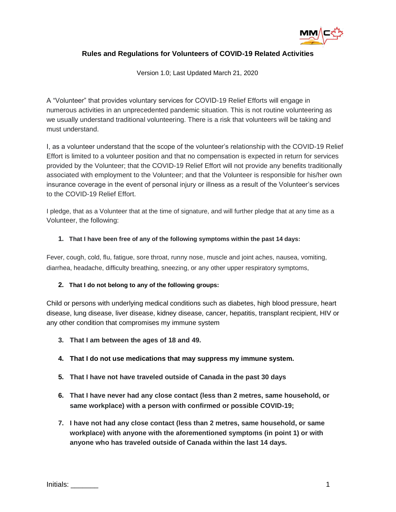

## **Rules and Regulations for Volunteers of COVID-19 Related Activities**

Version 1.0; Last Updated March 21, 2020

A "Volunteer" that provides voluntary services for COVID-19 Relief Efforts will engage in numerous activities in an unprecedented pandemic situation. This is not routine volunteering as we usually understand traditional volunteering. There is a risk that volunteers will be taking and must understand.

I, as a volunteer understand that the scope of the volunteer's relationship with the COVID-19 Relief Effort is limited to a volunteer position and that no compensation is expected in return for services provided by the Volunteer; that the COVID-19 Relief Effort will not provide any benefits traditionally associated with employment to the Volunteer; and that the Volunteer is responsible for his/her own insurance coverage in the event of personal injury or illness as a result of the Volunteer's services to the COVID-19 Relief Effort.

I pledge, that as a Volunteer that at the time of signature, and will further pledge that at any time as a Volunteer, the following:

#### **1. That I have been free of any of the following symptoms within the past 14 days:**

Fever, cough, cold, flu, fatigue, sore throat, runny nose, muscle and joint aches, nausea, vomiting, diarrhea, headache, difficulty breathing, sneezing, or any other upper respiratory symptoms,

#### **2. That I do not belong to any of the following groups:**

Child or persons with underlying medical conditions such as diabetes, high blood pressure, heart disease, lung disease, liver disease, kidney disease, cancer, hepatitis, transplant recipient, HIV or any other condition that compromises my immune system

- **3. That I am between the ages of 18 and 49.**
- **4. That I do not use medications that may suppress my immune system.**
- **5. That I have not have traveled outside of Canada in the past 30 days**
- **6. That I have never had any close contact (less than 2 metres, same household, or same workplace) with a person with confirmed or possible COVID-19;**
- **7. I have not had any close contact (less than 2 metres, same household, or same workplace) with anyone with the aforementioned symptoms (in point 1) or with anyone who has traveled outside of Canada within the last 14 days.**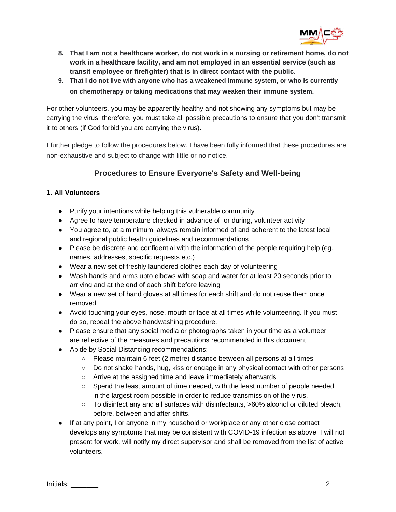

- **8. That I am not a healthcare worker, do not work in a nursing or retirement home, do not work in a healthcare facility, and am not employed in an essential service (such as transit employee or firefighter) that is in direct contact with the public.**
- **9. That I do not live with anyone who has a weakened immune system, or who is currently on chemotherapy or taking medications that may weaken their immune system.**

For other volunteers, you may be apparently healthy and not showing any symptoms but may be carrying the virus, therefore, you must take all possible precautions to ensure that you don't transmit it to others (if God forbid you are carrying the virus).

I further pledge to follow the procedures below. I have been fully informed that these procedures are non-exhaustive and subject to change with little or no notice.

# **Procedures to Ensure Everyone's Safety and Well-being**

## **1. All Volunteers**

- Purify your intentions while helping this vulnerable community
- Agree to have temperature checked in advance of, or during, volunteer activity
- You agree to, at a minimum, always remain informed of and adherent to the latest local and regional public health guidelines and recommendations
- Please be discrete and confidential with the information of the people requiring help (eg. names, addresses, specific requests etc.)
- Wear a new set of freshly laundered clothes each day of volunteering
- Wash hands and arms upto elbows with soap and water for at least 20 seconds prior to arriving and at the end of each shift before leaving
- Wear a new set of hand gloves at all times for each shift and do not reuse them once removed.
- Avoid touching your eyes, nose, mouth or face at all times while volunteering. If you must do so, repeat the above handwashing procedure.
- Please ensure that any social media or photographs taken in your time as a volunteer are reflective of the measures and precautions recommended in this document
- Abide by Social Distancing recommendations:
	- Please maintain 6 feet (2 metre) distance between all persons at all times
	- Do not shake hands, hug, kiss or engage in any physical contact with other persons
	- Arrive at the assigned time and leave immediately afterwards
	- Spend the least amount of time needed, with the least number of people needed, in the largest room possible in order to reduce transmission of the virus.
	- To disinfect any and all surfaces with disinfectants, >60% alcohol or diluted bleach, before, between and after shifts.
- If at any point, I or anyone in my household or workplace or any other close contact develops any symptoms that may be consistent with COVID-19 infection as above, I will not present for work, will notify my direct supervisor and shall be removed from the list of active volunteers.

Initials: 2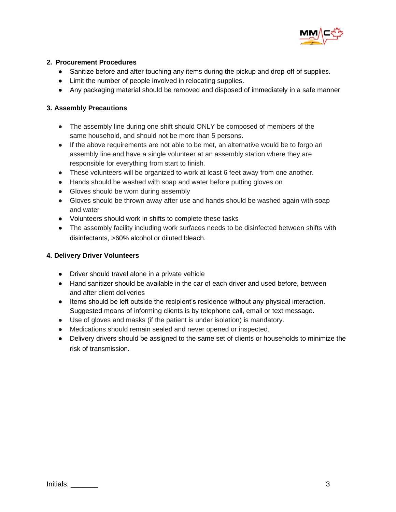

### **2. Procurement Procedures**

- Sanitize before and after touching any items during the pickup and drop-off of supplies.
- Limit the number of people involved in relocating supplies.
- Any packaging material should be removed and disposed of immediately in a safe manner

### **3. Assembly Precautions**

- The assembly line during one shift should ONLY be composed of members of the same household, and should not be more than 5 persons.
- If the above requirements are not able to be met, an alternative would be to forgo an assembly line and have a single volunteer at an assembly station where they are responsible for everything from start to finish.
- These volunteers will be organized to work at least 6 feet away from one another.
- Hands should be washed with soap and water before putting gloves on
- Gloves should be worn during assembly
- Gloves should be thrown away after use and hands should be washed again with soap and water
- Volunteers should work in shifts to complete these tasks
- The assembly facility including work surfaces needs to be disinfected between shifts with disinfectants, >60% alcohol or diluted bleach.

## **4. Delivery Driver Volunteers**

- Driver should travel alone in a private vehicle
- Hand sanitizer should be available in the car of each driver and used before, between and after client deliveries
- Items should be left outside the recipient's residence without any physical interaction. Suggested means of informing clients is by telephone call, email or text message.
- Use of gloves and masks (if the patient is under isolation) is mandatory.
- Medications should remain sealed and never opened or inspected.
- Delivery drivers should be assigned to the same set of clients or households to minimize the risk of transmission.

Initials: 2008 and 2009 and 2009 and 2009 and 2009 and 2009 and 2009 and 2009 and 2009 and 2009 and 2009 and 20